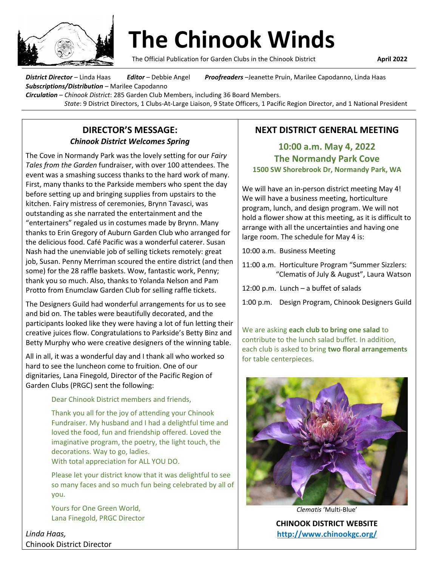

The Official Publication for Garden Clubs in the Chinook District **April 2022**

*District Director* – Linda Haas*Editor* – Debbie Angel*Proofreaders* –Jeanette Pruin, Marilee Capodanno, Linda Haas *Subscriptions/Distribution* – Marilee Capodanno *Circulation* – *Chinook District*: 285 Garden Club Members, including 36 Board Members.

*State*: 9 District Directors, 1 Clubs-At-Large Liaison, 9 State Officers, 1 Pacific Region Director, and 1 National President

### **DIRECTOR'S MESSAGE:**  *Chinook District Welcomes Spring*

The Cove in Normandy Park was the lovely setting for our *Fairy Tales from the Garden* fundraiser, with over 100 attendees. The event was a smashing success thanks to the hard work of many. First, many thanks to the Parkside members who spent the day before setting up and bringing supplies from upstairs to the kitchen. Fairy mistress of ceremonies, Brynn Tavasci, was outstanding as she narrated the entertainment and the "entertainers" regaled us in costumes made by Brynn. Many thanks to Erin Gregory of Auburn Garden Club who arranged for the delicious food. Café Pacific was a wonderful caterer. Susan Nash had the unenviable job of selling tickets remotely: great job, Susan. Penny Merriman scoured the entire district (and then some) for the 28 raffle baskets. Wow, fantastic work, Penny; thank you so much. Also, thanks to Yolanda Nelson and Pam Protto from Enumclaw Garden Club for selling raffle tickets.

The Designers Guild had wonderful arrangements for us to see and bid on. The tables were beautifully decorated, and the participants looked like they were having a lot of fun letting their creative juices flow. Congratulations to Parkside's Betty Binz and Betty Murphy who were creative designers of the winning table.

All in all, it was a wonderful day and I thank all who worked so hard to see the luncheon come to fruition. One of our dignitaries, Lana Finegold, Director of the Pacific Region of Garden Clubs (PRGC) sent the following:

Dear Chinook District members and friends,

Thank you all for the joy of attending your Chinook Fundraiser. My husband and I had a delightful time and loved the food, fun and friendship offered. Loved the imaginative program, the poetry, the light touch, the decorations. Way to go, ladies.

With total appreciation for ALL YOU DO.

Please let your district know that it was delightful to see so many faces and so much fun being celebrated by all of you.

Yours for One Green World, Lana Finegold, PRGC Director

*Linda Haas,*  Chinook District Director

# **NEXT DISTRICT GENERAL MEETING**

# **10:00 a.m. May 4, 2022 The Normandy Park Cove 1500 SW Shorebrook Dr, Normandy Park, WA**

We will have an in-person district meeting May 4! We will have a business meeting, horticulture program, lunch, and design program. We will not hold a flower show at this meeting, as it is difficult to arrange with all the uncertainties and having one large room. The schedule for May 4 is:

- 10:00 a.m. Business Meeting
- 11:00 a.m. Horticulture Program "Summer Sizzlers: "Clematis of July & August", Laura Watson
- 12:00 p.m. Lunch a buffet of salads
- 1:00 p.m. Design Program, Chinook Designers Guild

We are asking **each club to bring one salad** to contribute to the lunch salad buffet. In addition, each club is asked to bring **two floral arrangements** for table centerpieces.



*Clematis* 'Multi-Blue'

**CHINOOK DISTRICT WEBSITE <http://www.chinookgc.org/>**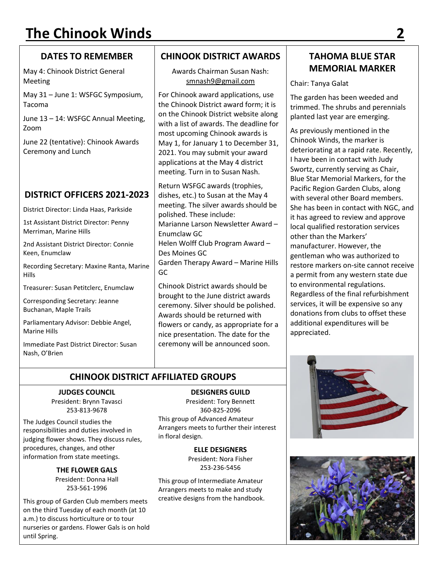# **DATES TO REMEMBER**

May 4: Chinook District General Meeting

May 31 – June 1: WSFGC Symposium, Tacoma

June 13 – 14: WSFGC Annual Meeting, Zoom

June 22 (tentative): Chinook Awards Ceremony and Lunch

# **DISTRICT OFFICERS 2021-2023**

District Director: Linda Haas, Parkside

1st Assistant District Director: Penny Merriman, Marine Hills

2nd Assistant District Director: Connie Keen, Enumclaw

Recording Secretary: Maxine Ranta, Marine Hills

Treasurer: Susan Petitclerc, Enumclaw

Corresponding Secretary: Jeanne Buchanan, Maple Trails

Parliamentary Advisor: Debbie Angel, Marine Hills

Immediate Past District Director: Susan Nash, O'Brien

# **CHINOOK DISTRICT AWARDS**

Awards Chairman Susan Nash: [smnash9@gmail.com](mailto:smnash9@gmail.com)

For Chinook award applications, use the Chinook District award form; it is on the Chinook District website along with a list of awards. The deadline for most upcoming Chinook awards is May 1, for January 1 to December 31, 2021. You may submit your award applications at the May 4 district meeting. Turn in to Susan Nash.

Return WSFGC awards (trophies, dishes, etc.) to Susan at the May 4 meeting. The silver awards should be polished. These include: Marianne Larson Newsletter Award – Enumclaw GC Helen Wolff Club Program Award – Des Moines GC Garden Therapy Award – Marine Hills GC

Chinook District awards should be brought to the June district awards ceremony. Silver should be polished. Awards should be returned with flowers or candy, as appropriate for a nice presentation. The date for the ceremony will be announced soon.

# **CHINOOK DISTRICT AFFILIATED GROUPS**

#### **JUDGES COUNCIL**

President: Brynn Tavasci 253-813-9678

The Judges Council studies the responsibilities and duties involved in judging flower shows. They discuss rules, procedures, changes, and other information from state meetings.

> **THE FLOWER GALS** President: Donna Hall 253-561-1996

This group of Garden Club members meets on the third Tuesday of each month (at 10 a.m.) to discuss horticulture or to tour nurseries or gardens. Flower Gals is on hold until Spring.

**DESIGNERS GUILD** President: Tory Bennett 360-825-2096 This group of Advanced Amateur Arrangers meets to further their interest in floral design.

> **ELLE DESIGNERS** President: Nora Fisher 253-236-5456

This group of Intermediate Amateur Arrangers meets to make and study creative designs from the handbook.

# **TAHOMA BLUE STAR MEMORIAL MARKER**

#### Chair: Tanya Galat

The garden has been weeded and trimmed. The shrubs and perennials planted last year are emerging.

As previously mentioned in the Chinook Winds, the marker is deteriorating at a rapid rate. Recently, I have been in contact with Judy Swortz, currently serving as Chair, Blue Star Memorial Markers, for the Pacific Region Garden Clubs, along with several other Board members. She has been in contact with NGC, and it has agreed to review and approve local qualified restoration services other than the Markers' manufacturer. However, the gentleman who was authorized to restore markers on-site cannot receive a permit from any western state due to environmental regulations. Regardless of the final refurbishment services, it will be expensive so any donations from clubs to offset these additional expenditures will be appreciated.



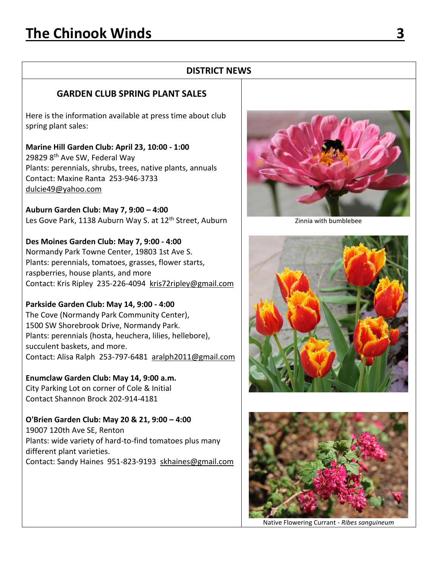#### **DISTRICT NEWS**

#### **GARDEN CLUB SPRING PLANT SALES**

Here is the information available at press time about club spring plant sales:

**Marine Hill Garden Club: April 23, 10:00 - 1:00** 29829 8th Ave SW, Federal Way Plants: perennials, shrubs, trees, native plants, annuals Contact: Maxine Ranta 253-946-3733 [dulcie49@yahoo.com](mailto:dulcie49@yahoo.com)

**Auburn Garden Club: May 7, 9:00 – 4:00** Les Gove Park, 1138 Auburn Way S. at 12<sup>th</sup> Street, Auburn

**Des Moines Garden Club: May 7, 9:00 - 4:00** Normandy Park Towne Center, 19803 1st Ave S. Plants: perennials, tomatoes, grasses, flower starts, raspberries, house plants, and more Contact: Kris Ripley 235-226-4094 [kris72ripley@gmail.com](mailto:kris72ripley@gmail.com)

**Parkside Garden Club: May 14, 9:00 - 4:00** The Cove (Normandy Park Community Center), 1500 SW Shorebrook Drive, Normandy Park. Plants: perennials (hosta, heuchera, lilies, hellebore), succulent baskets, and more. Contact: Alisa Ralph 253-797-6481 [aralph2011@gmail.com](mailto:aralph2011@gmail.com)

**Enumclaw Garden Club: May 14, 9:00 a.m.** City Parking Lot on corner of Cole & Initial Contact Shannon Brock 202-914-4181

**O'Brien Garden Club: May 20 & 21, 9:00 – 4:00** 19007 120th Ave SE, Renton Plants: wide variety of hard-to-find tomatoes plus many different plant varieties. Contact: Sandy Haines 951-823-9193 [skhaines@gmail.com](mailto:skhaines@gmail.com)



Zinnia with bumblebee





Native Flowering Currant - *Ribes sanguineum*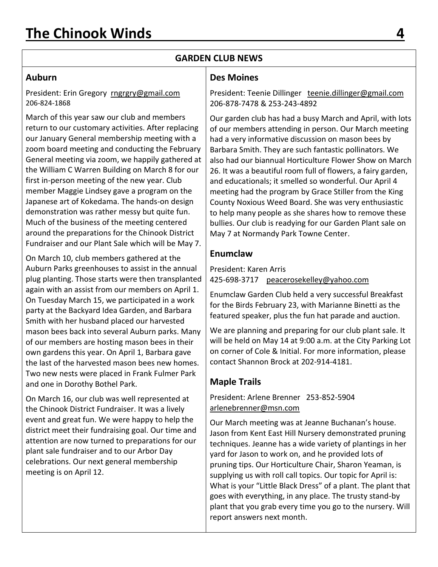# **GARDEN CLUB NEWS**

#### **Auburn**

President: Erin Gregory [rngrgry@gmail.com](mailto:rngrgry@gmail.com) 206-824-1868

March of this year saw our club and members return to our customary activities. After replacing our January General membership meeting with a zoom board meeting and conducting the February General meeting via zoom, we happily gathered at the William C Warren Building on March 8 for our first in-person meeting of the new year. Club member Maggie Lindsey gave a program on the Japanese art of Kokedama. The hands-on design demonstration was rather messy but quite fun. Much of the business of the meeting centered around the preparations for the Chinook District Fundraiser and our Plant Sale which will be May 7.

On March 10, club members gathered at the Auburn Parks greenhouses to assist in the annual plug planting. Those starts were then transplanted again with an assist from our members on April 1. On Tuesday March 15, we participated in a work party at the Backyard Idea Garden, and Barbara Smith with her husband placed our harvested mason bees back into several Auburn parks. Many of our members are hosting mason bees in their own gardens this year. On April 1, Barbara gave the last of the harvested mason bees new homes. Two new nests were placed in Frank Fulmer Park and one in Dorothy Bothel Park.

On March 16, our club was well represented at the Chinook District Fundraiser. It was a lively event and great fun. We were happy to help the district meet their fundraising goal. Our time and attention are now turned to preparations for our plant sale fundraiser and to our Arbor Day celebrations. Our next general membership meeting is on April 12.

#### **Des Moines**

President: Teenie Dillinger [teenie.dillinger@gmail.com](mailto:teenie.dillinger@gmail.com) 206-878-7478 & 253-243-4892

Our garden club has had a busy March and April, with lots of our members attending in person. Our March meeting had a very informative discussion on mason bees by Barbara Smith. They are such fantastic pollinators. We also had our biannual Horticulture Flower Show on March 26. It was a beautiful room full of flowers, a fairy garden, and educationals; it smelled so wonderful. Our April 4 meeting had the program by Grace Stiller from the King County Noxious Weed Board. She was very enthusiastic to help many people as she shares how to remove these bullies. Our club is readying for our Garden Plant sale on May 7 at Normandy Park Towne Center.

#### **Enumclaw**

President: Karen Arris 425-698-3717 [peacerosekelley@yahoo.com](mailto:peacerosekelley@yahoo.com)

Enumclaw Garden Club held a very successful Breakfast for the Birds February 23, with Marianne Binetti as the featured speaker, plus the fun hat parade and auction.

We are planning and preparing for our club plant sale. It will be held on May 14 at 9:00 a.m. at the City Parking Lot on corner of Cole & Initial. For more information, please contact Shannon Brock at 202-914-4181.

# **Maple Trails**

President: Arlene Brenner 253-852-5904 [arlenebrenner@msn.com](mailto:arlenebrenner@msn.com)

Our March meeting was at Jeanne Buchanan's house. Jason from Kent East Hill Nursery demonstrated pruning techniques. Jeanne has a wide variety of plantings in her yard for Jason to work on, and he provided lots of pruning tips. Our Horticulture Chair, Sharon Yeaman, is supplying us with roll call topics. Our topic for April is: What is your "Little Black Dress" of a plant. The plant that goes with everything, in any place. The trusty stand-by plant that you grab every time you go to the nursery. Will report answers next month.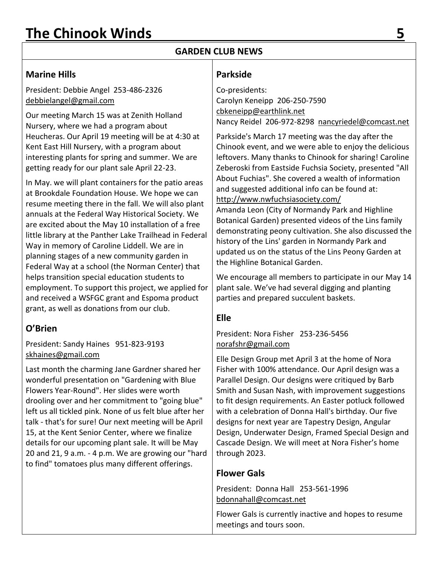# **GARDEN CLUB NEWS**

### **Marine Hills**

President: Debbie Angel 253-486-2326 [debbielangel@gmail.com](mailto:debbielangel@gmail.com)

Our meeting March 15 was at Zenith Holland Nursery, where we had a program about Heucheras. Our April 19 meeting will be at 4:30 at Kent East Hill Nursery, with a program about interesting plants for spring and summer. We are getting ready for our plant sale April 22-23.

In May. we will plant containers for the patio areas at Brookdale Foundation House. We hope we can resume meeting there in the fall. We will also plant annuals at the Federal Way Historical Society. We are excited about the May 10 installation of a free little library at the Panther Lake Trailhead in Federal Way in memory of Caroline Liddell. We are in planning stages of a new community garden in Federal Way at a school (the Norman Center) that helps transition special education students to employment. To support this project, we applied for and received a WSFGC grant and Espoma product grant, as well as donations from our club.

# **O'Brien**

#### President: Sandy Haines 951-823-9193 [skhaines@gmail.com](mailto:skhaines@gmail.com)

Last month the charming Jane Gardner shared her wonderful presentation on "Gardening with Blue Flowers Year-Round". Her slides were worth drooling over and her commitment to "going blue" left us all tickled pink. None of us felt blue after her talk - that's for sure! Our next meeting will be April 15, at the Kent Senior Center, where we finalize details for our upcoming plant sale. It will be May 20 and 21, 9 a.m. - 4 p.m. We are growing our "hard to find" tomatoes plus many different offerings.

# **Parkside**

Co-presidents: Carolyn Keneipp 206-250-7590 [cbkeneipp@earthlink.net](mailto:cbkeneipp@earthlink.net) Nancy Reidel 206-972-8298 [nancyriedel@comcast.net](mailto:nancyriedel@comcast.net)

Parkside's March 17 meeting was the day after the Chinook event, and we were able to enjoy the delicious leftovers. Many thanks to Chinook for sharing! Caroline Zeberoski from Eastside Fuchsia Society, presented "All About Fuchias". She covered a wealth of information and suggested additional info can be found at: <http://www.nwfuchsiasociety.com/> Amanda Leon (City of Normandy Park and Highline Botanical Garden) presented videos of the Lins family demonstrating peony cultivation. She also discussed the history of the Lins' garden in Normandy Park and updated us on the status of the Lins Peony Garden at

We encourage all members to participate in our May 14 plant sale. We've had several digging and planting parties and prepared succulent baskets.

# **Elle**

#### President: Nora Fisher 253-236-5456 [norafshr@gmail.com](mailto:norafshr@gmail.com)

the Highline Botanical Garden.

Elle Design Group met April 3 at the home of Nora Fisher with 100% attendance. Our April design was a Parallel Design. Our designs were critiqued by Barb Smith and Susan Nash, with improvement suggestions to fit design requirements. An Easter potluck followed with a celebration of Donna Hall's birthday. Our five designs for next year are Tapestry Design, Angular Design, Underwater Design, Framed Special Design and Cascade Design. We will meet at Nora Fisher's home through 2023.

# **Flower Gals**

President: Donna Hall 253-561-1996 bdonnahall@comcast.net

Flower Gals is currently inactive and hopes to resume meetings and tours soon.